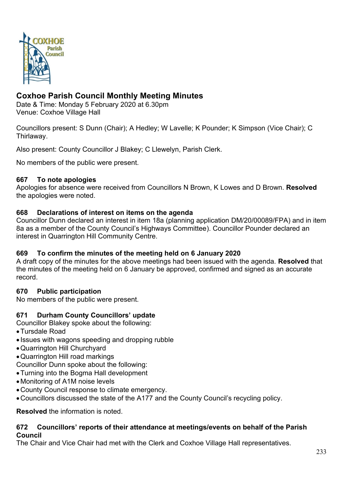

# **Coxhoe Parish Council Monthly Meeting Minutes**

Date & Time: Monday 5 February 2020 at 6.30pm Venue: Coxhoe Village Hall

Councillors present: S Dunn (Chair); A Hedley; W Lavelle; K Pounder; K Simpson (Vice Chair); C Thirlaway.

Also present: County Councillor J Blakey; C Llewelyn, Parish Clerk.

No members of the public were present.

#### **667 To note apologies**

Apologies for absence were received from Councillors N Brown, K Lowes and D Brown. **Resolved** the apologies were noted.

#### **668 Declarations of interest on items on the agenda**

Councillor Dunn declared an interest in item 18a (planning application DM/20/00089/FPA) and in item 8a as a member of the County Council's Highways Committee). Councillor Pounder declared an interest in Quarrington Hill Community Centre.

### **669 To confirm the minutes of the meeting held on 6 January 2020**

A draft copy of the minutes for the above meetings had been issued with the agenda. **Resolved** that the minutes of the meeting held on 6 January be approved, confirmed and signed as an accurate record.

### **670 Public participation**

No members of the public were present.

### **671 Durham County Councillors' update**

Councillor Blakey spoke about the following:

- •Tursdale Road
- Issues with wagons speeding and dropping rubble
- •Quarrington Hill Churchyard
- •Quarrington Hill road markings
- Councillor Dunn spoke about the following:
- •Turning into the Bogma Hall development
- •Monitoring of A1M noise levels
- •County Council response to climate emergency.
- •Councillors discussed the state of the A177 and the County Council's recycling policy.

**Resolved** the information is noted.

#### **672 Councillors' reports of their attendance at meetings/events on behalf of the Parish Council**

The Chair and Vice Chair had met with the Clerk and Coxhoe Village Hall representatives.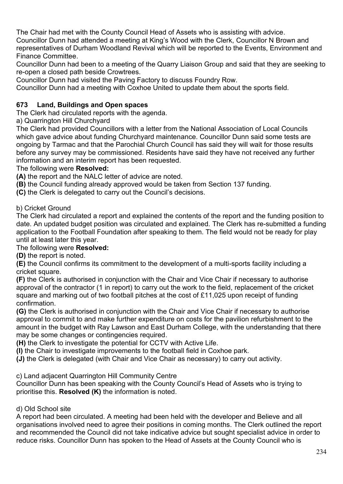The Chair had met with the County Council Head of Assets who is assisting with advice.

Councillor Dunn had attended a meeting at King's Wood with the Clerk, Councillor N Brown and representatives of Durham Woodland Revival which will be reported to the Events, Environment and Finance Committee.

Councillor Dunn had been to a meeting of the Quarry Liaison Group and said that they are seeking to re-open a closed path beside Crowtrees.

Councillor Dunn had visited the Paving Factory to discuss Foundry Row.

Councillor Dunn had a meeting with Coxhoe United to update them about the sports field.

## **673 Land, Buildings and Open spaces**

The Clerk had circulated reports with the agenda.

a) Quarrington Hill Churchyard

The Clerk had provided Councillors with a letter from the National Association of Local Councils which gave advice about funding Churchyard maintenance. Councillor Dunn said some tests are ongoing by Tarmac and that the Parochial Church Council has said they will wait for those results before any survey may be commissioned. Residents have said they have not received any further information and an interim report has been requested.

## The following were **Resolved:**

**(A)** the report and the NALC letter of advice are noted.

**(B)** the Council funding already approved would be taken from Section 137 funding.

**(C)** the Clerk is delegated to carry out the Council's decisions.

### b) Cricket Ground

The Clerk had circulated a report and explained the contents of the report and the funding position to date. An updated budget position was circulated and explained. The Clerk has re-submitted a funding application to the Football Foundation after speaking to them. The field would not be ready for play until at least later this year.

### The following were **Resolved:**

**(D)** the report is noted.

**(E)** the Council confirms its commitment to the development of a multi-sports facility including a cricket square.

**(F)** the Clerk is authorised in conjunction with the Chair and Vice Chair if necessary to authorise approval of the contractor (1 in report) to carry out the work to the field, replacement of the cricket square and marking out of two football pitches at the cost of £11,025 upon receipt of funding confirmation.

**(G)** the Clerk is authorised in conjunction with the Chair and Vice Chair if necessary to authorise approval to commit to and make further expenditure on costs for the pavilion refurbishment to the amount in the budget with Ray Lawson and East Durham College, with the understanding that there may be some changes or contingencies required.

**(H)** the Clerk to investigate the potential for CCTV with Active Life.

**(I)** the Chair to investigate improvements to the football field in Coxhoe park.

**(J)** the Clerk is delegated (with Chair and Vice Chair as necessary) to carry out activity.

c) Land adjacent Quarrington Hill Community Centre

Councillor Dunn has been speaking with the County Council's Head of Assets who is trying to prioritise this. **Resolved (K)** the information is noted.

## d) Old School site

A report had been circulated. A meeting had been held with the developer and Believe and all organisations involved need to agree their positions in coming months. The Clerk outlined the report and recommended the Council did not take indicative advice but sought specialist advice in order to reduce risks. Councillor Dunn has spoken to the Head of Assets at the County Council who is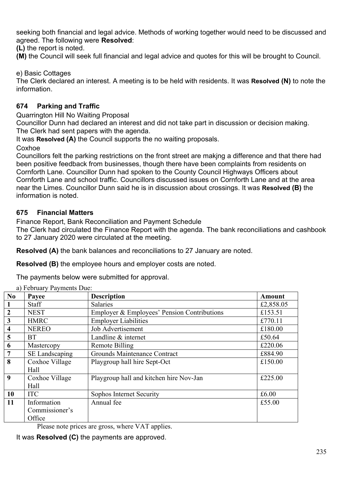seeking both financial and legal advice. Methods of working together would need to be discussed and agreed. The following were **Resolved**:

**(L)** the report is noted.

**(M)** the Council will seek full financial and legal advice and quotes for this will be brought to Council.

e) Basic Cottages

The Clerk declared an interest. A meeting is to be held with residents. It was **Resolved (N)** to note the information.

## **674 Parking and Traffic**

Quarrington Hill No Waiting Proposal

Councillor Dunn had declared an interest and did not take part in discussion or decision making. The Clerk had sent papers with the agenda.

It was **Resolved (A)** the Council supports the no waiting proposals.

**Coxhoe** 

Councillors felt the parking restrictions on the front street are makjng a difference and that there had been positive feedback from businesses, though there have been complaints from residents on Cornforth Lane. Councillor Dunn had spoken to the County Council Highways Officers about Cornforth Lane and school traffic. Councillors discussed issues on Cornforth Lane and at the area near the Limes. Councillor Dunn said he is in discussion about crossings. It was **Resolved (B)** the information is noted.

## **675 Financial Matters**

Finance Report, Bank Reconciliation and Payment Schedule

The Clerk had circulated the Finance Report with the agenda. The bank reconciliations and cashbook to 27 January 2020 were circulated at the meeting.

**Resolved (A)** the bank balances and reconciliations to 27 January are noted.

**Resolved (B)** the employee hours and employer costs are noted.

The payments below were submitted for approval.

| No                      | Payee          | <b>Description</b>                          | <b>Amount</b> |
|-------------------------|----------------|---------------------------------------------|---------------|
|                         | <b>Staff</b>   | Salaries                                    | £2,858.05     |
| $\overline{2}$          | <b>NEST</b>    | Employer & Employees' Pension Contributions | £153.51       |
| 3                       | <b>HMRC</b>    | <b>Employer Liabilities</b>                 | £770.11       |
| $\overline{\mathbf{4}}$ | <b>NEREO</b>   | Job Advertisement                           | £180.00       |
| 5                       | <b>BT</b>      | Landline & internet                         | £50.64        |
| 6                       | Mastercopy     | Remote Billing                              | £220.06       |
| $\overline{7}$          | SE Landscaping | Grounds Maintenance Contract                | £884.90       |
| 8                       | Coxhoe Village | Playgroup hall hire Sept-Oct                | £150.00       |
|                         | Hall           |                                             |               |
| 9                       | Coxhoe Village | Playgroup hall and kitchen hire Nov-Jan     | £225.00       |
|                         | Hall           |                                             |               |
| 10                      | <b>ITC</b>     | Sophos Internet Security                    | £6.00         |
| 11                      | Information    | Annual fee                                  | £55.00        |
|                         | Commissioner's |                                             |               |
|                         | Office         |                                             |               |

a) February Payments Due:

Please note prices are gross, where VAT applies.

It was **Resolved (C)** the payments are approved.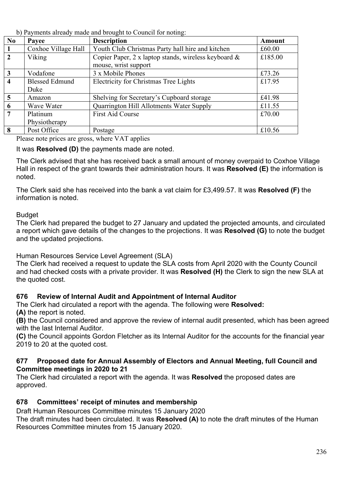b) Payments already made and brought to Council for noting:

| N <sub>0</sub>   | Payee                 | <b>Description</b>                                   | <b>Amount</b> |
|------------------|-----------------------|------------------------------------------------------|---------------|
|                  | Coxhoe Village Hall   | Youth Club Christmas Party hall hire and kitchen     | £60.00        |
| $\mathbf{2}$     | Viking                | Copier Paper, 2 x laptop stands, wireless keyboard & | £185.00       |
|                  |                       | mouse, wrist support                                 |               |
| 3                | Vodafone              | 3 x Mobile Phones                                    | £73.26        |
| $\boldsymbol{4}$ | <b>Blessed Edmund</b> | <b>Electricity for Christmas Tree Lights</b>         | £17.95        |
|                  | Duke                  |                                                      |               |
| $\overline{5}$   | Amazon                | Shelving for Secretary's Cupboard storage            | £41.98        |
| 6                | Wave Water            | Quarrington Hill Allotments Water Supply             | £11.55        |
| 7                | Platinum              | <b>First Aid Course</b>                              | £70.00        |
|                  | Physiotherapy         |                                                      |               |
| 8                | Post Office           | Postage                                              | £10.56        |

Please note prices are gross, where VAT applies

It was **Resolved (D)** the payments made are noted.

The Clerk advised that she has received back a small amount of money overpaid to Coxhoe Village Hall in respect of the grant towards their administration hours. It was **Resolved (E)** the information is noted.

The Clerk said she has received into the bank a vat claim for £3,499.57. It was **Resolved (F)** the information is noted.

### **Budget**

The Clerk had prepared the budget to 27 January and updated the projected amounts, and circulated a report which gave details of the changes to the projections. It was **Resolved (G)** to note the budget and the updated projections.

Human Resources Service Level Agreement (SLA)

The Clerk had received a request to update the SLA costs from April 2020 with the County Council and had checked costs with a private provider. It was **Resolved (H)** the Clerk to sign the new SLA at the quoted cost.

## **676 Review of Internal Audit and Appointment of Internal Auditor**

The Clerk had circulated a report with the agenda. The following were **Resolved: (A)** the report is noted.

**(B)** the Council considered and approve the review of internal audit presented, which has been agreed with the last Internal Auditor.

**(C)** the Council appoints Gordon Fletcher as its Internal Auditor for the accounts for the financial year 2019 to 20 at the quoted cost.

#### **677 Proposed date for Annual Assembly of Electors and Annual Meeting, full Council and Committee meetings in 2020 to 21**

The Clerk had circulated a report with the agenda. It was **Resolved** the proposed dates are approved.

## **678 Committees' receipt of minutes and membership**

Draft Human Resources Committee minutes 15 January 2020

The draft minutes had been circulated. It was **Resolved (A)** to note the draft minutes of the Human Resources Committee minutes from 15 January 2020.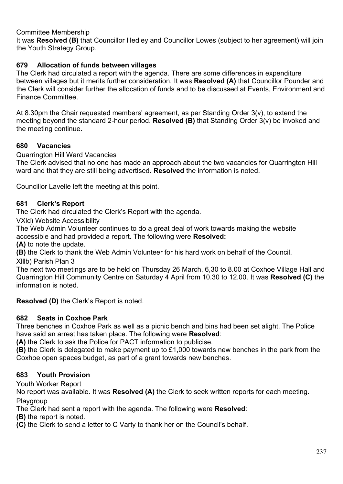Committee Membership

It was **Resolved (B)** that Councillor Hedley and Councillor Lowes (subject to her agreement) will join the Youth Strategy Group.

### **679 Allocation of funds between villages**

The Clerk had circulated a report with the agenda. There are some differences in expenditure between villages but it merits further consideration. It was **Resolved (A)** that Councillor Pounder and the Clerk will consider further the allocation of funds and to be discussed at Events, Environment and Finance Committee.

At 8.30pm the Chair requested members' agreement, as per Standing Order 3(v), to extend the meeting beyond the standard 2-hour period. **Resolved (B)** that Standing Order 3(v) be invoked and the meeting continue.

### **680 Vacancies**

Quarrington Hill Ward Vacancies

The Clerk advised that no one has made an approach about the two vacancies for Quarrington Hill ward and that they are still being advertised. **Resolved** the information is noted.

Councillor Lavelle left the meeting at this point.

#### **681 Clerk's Report**

The Clerk had circulated the Clerk's Report with the agenda.

VXld) Website Accessibility

The Web Admin Volunteer continues to do a great deal of work towards making the website accessible and had provided a report. The following were **Resolved:**

**(A)** to note the update.

**(B)** the Clerk to thank the Web Admin Volunteer for his hard work on behalf of the Council.

Xlllb) Parish Plan 3

The next two meetings are to be held on Thursday 26 March, 6,30 to 8.00 at Coxhoe Village Hall and Quarrington Hill Community Centre on Saturday 4 April from 10.30 to 12.00. It was **Resolved (C)** the information is noted.

**Resolved (D)** the Clerk's Report is noted.

### **682 Seats in Coxhoe Park**

Three benches in Coxhoe Park as well as a picnic bench and bins had been set alight. The Police have said an arrest has taken place. The following were **Resolved**:

**(A)** the Clerk to ask the Police for PACT information to publicise.

**(B)** the Clerk is delegated to make payment up to £1,000 towards new benches in the park from the Coxhoe open spaces budget, as part of a grant towards new benches.

### **683 Youth Provision**

Youth Worker Report

No report was available. It was **Resolved (A)** the Clerk to seek written reports for each meeting. Playgroup

The Clerk had sent a report with the agenda. The following were **Resolved**:

**(B)** the report is noted.

**(C)** the Clerk to send a letter to C Varty to thank her on the Council's behalf.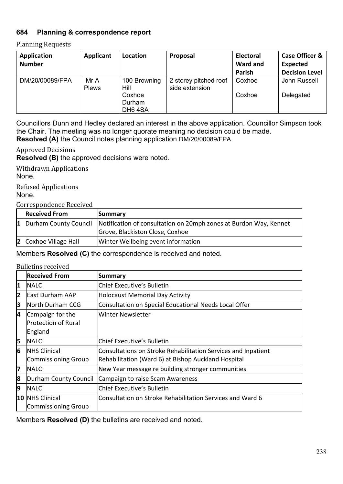## **684 Planning & correspondence report**

#### Planning Requests

| <b>Application</b> | Applicant            | Location             | Proposal                                | <b>Electoral</b> | <b>Case Officer &amp;</b> |
|--------------------|----------------------|----------------------|-----------------------------------------|------------------|---------------------------|
| <b>Number</b>      |                      |                      |                                         | <b>Ward and</b>  | <b>Expected</b>           |
|                    |                      |                      |                                         | Parish           | <b>Decision Level</b>     |
| DM/20/00089/FPA    | Mr A<br><b>Plews</b> | 100 Browning<br>Hill | 2 storey pitched roof<br>side extension | Coxhoe           | John Russell              |
|                    |                      | Coxhoe               |                                         | Coxhoe           | Delegated                 |
|                    |                      | Durham               |                                         |                  |                           |
|                    |                      | DH <sub>6</sub> 4SA  |                                         |                  |                           |

Councillors Dunn and Hedley declared an interest in the above application. Councillor Simpson took the Chair. The meeting was no longer quorate meaning no decision could be made. **Resolved (A)** the Council notes planning application DM/20/00089/FPA

Approved Decisions

**Resolved (B)** the approved decisions were noted.

Withdrawn Applications None.

Refused Applications

None.

Correspondence Received

| <b>Received From</b>     | Summary                                                           |
|--------------------------|-------------------------------------------------------------------|
| 1  Durham County Council | Notification of consultation on 20mph zones at Burdon Way, Kennet |
|                          | Grove, Blackiston Close, Coxhoe                                   |
| 2 Coxhoe Village Hall    | Winter Wellbeing event information                                |

Members **Resolved (C)** the correspondence is received and noted.

#### Bulletins received

|    | <b>Received From</b>       | Summary                                                       |
|----|----------------------------|---------------------------------------------------------------|
| 1  | <b>INALC</b>               | Chief Executive's Bulletin                                    |
| 2  | <b>East Durham AAP</b>     | <b>Holocaust Memorial Day Activity</b>                        |
| 3  | North Durham CCG           | Consultation on Special Educational Needs Local Offer         |
| 4  | Campaign for the           | Winter Newsletter                                             |
|    | <b>Protection of Rural</b> |                                                               |
|    | England                    |                                                               |
| 5  | <b>INALC</b>               | lChief Executive's Bulletin                                   |
| 6  | <b>NHS Clinical</b>        | Consultations on Stroke Rehabilitation Services and Inpatient |
|    | Commissioning Group        | Rehabilitation (Ward 6) at Bishop Auckland Hospital           |
| 17 | <b>INALC</b>               | New Year message re building stronger communities             |
| 8  | Durham County Council      | Campaign to raise Scam Awareness                              |
| 9  | <b>INALC</b>               | lChief Executive's Bulletin                                   |
|    | 10 NHS Clinical            | Consultation on Stroke Rehabilitation Services and Ward 6     |
|    | Commissioning Group        |                                                               |

Members **Resolved (D)** the bulletins are received and noted.